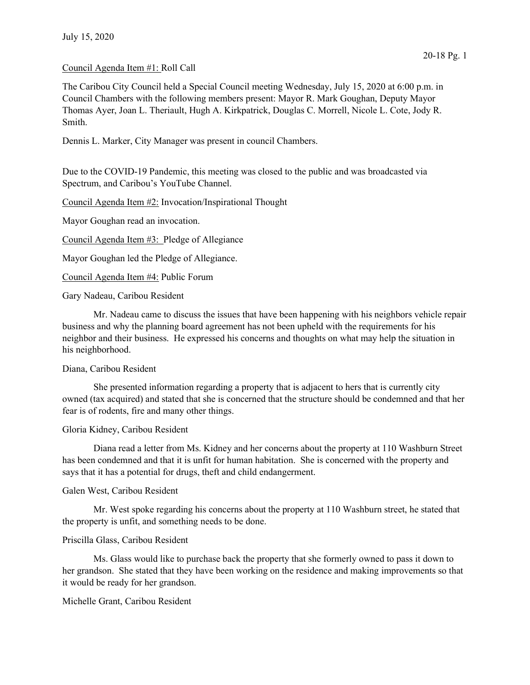# Council Agenda Item #1: Roll Call

The Caribou City Council held a Special Council meeting Wednesday, July 15, 2020 at 6:00 p.m. in Council Chambers with the following members present: Mayor R. Mark Goughan, Deputy Mayor Thomas Ayer, Joan L. Theriault, Hugh A. Kirkpatrick, Douglas C. Morrell, Nicole L. Cote, Jody R. Smith.

Dennis L. Marker, City Manager was present in council Chambers.

Due to the COVID-19 Pandemic, this meeting was closed to the public and was broadcasted via Spectrum, and Caribou's YouTube Channel.

Council Agenda Item #2: Invocation/Inspirational Thought

Mayor Goughan read an invocation.

Council Agenda Item #3: Pledge of Allegiance

Mayor Goughan led the Pledge of Allegiance.

Council Agenda Item #4: Public Forum

Gary Nadeau, Caribou Resident

 Mr. Nadeau came to discuss the issues that have been happening with his neighbors vehicle repair business and why the planning board agreement has not been upheld with the requirements for his neighbor and their business. He expressed his concerns and thoughts on what may help the situation in his neighborhood.

#### Diana, Caribou Resident

 She presented information regarding a property that is adjacent to hers that is currently city owned (tax acquired) and stated that she is concerned that the structure should be condemned and that her fear is of rodents, fire and many other things.

## Gloria Kidney, Caribou Resident

 Diana read a letter from Ms. Kidney and her concerns about the property at 110 Washburn Street has been condemned and that it is unfit for human habitation. She is concerned with the property and says that it has a potential for drugs, theft and child endangerment.

### Galen West, Caribou Resident

 Mr. West spoke regarding his concerns about the property at 110 Washburn street, he stated that the property is unfit, and something needs to be done.

# Priscilla Glass, Caribou Resident

 Ms. Glass would like to purchase back the property that she formerly owned to pass it down to her grandson. She stated that they have been working on the residence and making improvements so that it would be ready for her grandson.

## Michelle Grant, Caribou Resident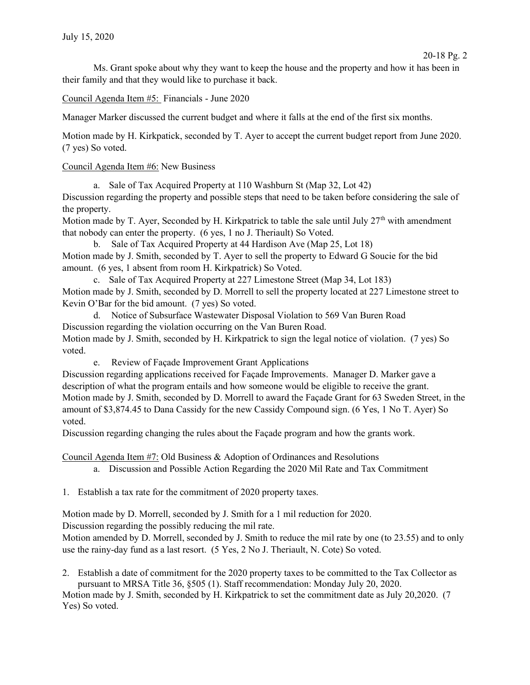Ms. Grant spoke about why they want to keep the house and the property and how it has been in their family and that they would like to purchase it back.

Council Agenda Item #5: Financials - June 2020

Manager Marker discussed the current budget and where it falls at the end of the first six months.

Motion made by H. Kirkpatick, seconded by T. Ayer to accept the current budget report from June 2020. (7 yes) So voted.

Council Agenda Item #6: New Business

a. Sale of Tax Acquired Property at 110 Washburn St (Map 32, Lot 42) Discussion regarding the property and possible steps that need to be taken before considering the sale of the property.

Motion made by T. Ayer, Seconded by H. Kirkpatrick to table the sale until July  $27<sup>th</sup>$  with amendment that nobody can enter the property. (6 yes, 1 no J. Theriault) So Voted.

b. Sale of Tax Acquired Property at 44 Hardison Ave (Map 25, Lot 18) Motion made by J. Smith, seconded by T. Ayer to sell the property to Edward G Soucie for the bid amount. (6 yes, 1 absent from room H. Kirkpatrick) So Voted.

c. Sale of Tax Acquired Property at 227 Limestone Street (Map 34, Lot 183) Motion made by J. Smith, seconded by D. Morrell to sell the property located at 227 Limestone street to Kevin O'Bar for the bid amount. (7 yes) So voted.

d. Notice of Subsurface Wastewater Disposal Violation to 569 Van Buren Road Discussion regarding the violation occurring on the Van Buren Road. Motion made by J. Smith, seconded by H. Kirkpatrick to sign the legal notice of violation. (7 yes) So voted.

e. Review of Façade Improvement Grant Applications

Discussion regarding applications received for Façade Improvements. Manager D. Marker gave a description of what the program entails and how someone would be eligible to receive the grant. Motion made by J. Smith, seconded by D. Morrell to award the Façade Grant for 63 Sweden Street, in the amount of \$3,874.45 to Dana Cassidy for the new Cassidy Compound sign. (6 Yes, 1 No T. Ayer) So voted.

Discussion regarding changing the rules about the Façade program and how the grants work.

Council Agenda Item #7: Old Business & Adoption of Ordinances and Resolutions

a. Discussion and Possible Action Regarding the 2020 Mil Rate and Tax Commitment

1. Establish a tax rate for the commitment of 2020 property taxes.

Motion made by D. Morrell, seconded by J. Smith for a 1 mil reduction for 2020.

Discussion regarding the possibly reducing the mil rate.

Motion amended by D. Morrell, seconded by J. Smith to reduce the mil rate by one (to 23.55) and to only use the rainy-day fund as a last resort. (5 Yes, 2 No J. Theriault, N. Cote) So voted.

2. Establish a date of commitment for the 2020 property taxes to be committed to the Tax Collector as pursuant to MRSA Title 36, §505 (1). Staff recommendation: Monday July 20, 2020.

Motion made by J. Smith, seconded by H. Kirkpatrick to set the commitment date as July 20,2020. (7 Yes) So voted.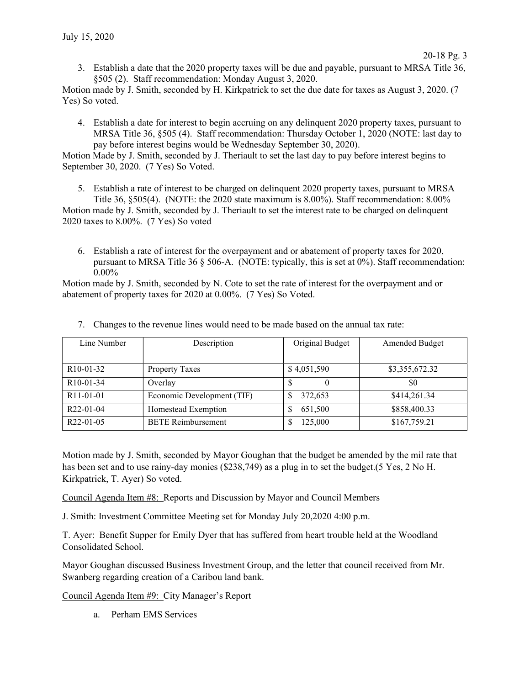3. Establish a date that the 2020 property taxes will be due and payable, pursuant to MRSA Title 36, §505 (2). Staff recommendation: Monday August 3, 2020.

Motion made by J. Smith, seconded by H. Kirkpatrick to set the due date for taxes as August 3, 2020. (7 Yes) So voted.

4. Establish a date for interest to begin accruing on any delinquent 2020 property taxes, pursuant to MRSA Title 36, §505 (4). Staff recommendation: Thursday October 1, 2020 (NOTE: last day to pay before interest begins would be Wednesday September 30, 2020).

Motion Made by J. Smith, seconded by J. Theriault to set the last day to pay before interest begins to September 30, 2020. (7 Yes) So Voted.

5. Establish a rate of interest to be charged on delinquent 2020 property taxes, pursuant to MRSA Title 36, §505(4). (NOTE: the 2020 state maximum is 8.00%). Staff recommendation: 8.00%

Motion made by J. Smith, seconded by J. Theriault to set the interest rate to be charged on delinquent 2020 taxes to 8.00%. (7 Yes) So voted

6. Establish a rate of interest for the overpayment and or abatement of property taxes for 2020, pursuant to MRSA Title 36 § 506-A. (NOTE: typically, this is set at 0%). Staff recommendation: 0.00%

Motion made by J. Smith, seconded by N. Cote to set the rate of interest for the overpayment and or abatement of property taxes for 2020 at 0.00%. (7 Yes) So Voted.

| Line Number            | Description                | Original Budget | Amended Budget |
|------------------------|----------------------------|-----------------|----------------|
|                        |                            |                 |                |
| R <sub>10</sub> -01-32 | <b>Property Taxes</b>      | \$4,051,590     | \$3,355,672.32 |
| R <sub>10</sub> -01-34 | Overlay                    |                 | \$0            |
| R <sub>11</sub> -01-01 | Economic Development (TIF) | 372,653         | \$414,261.34   |
| $R22-01-04$            | Homestead Exemption        | 651,500         | \$858,400.33   |
| R <sub>22</sub> -01-05 | <b>BETE</b> Reimbursement  | 125,000         | \$167,759.21   |

7. Changes to the revenue lines would need to be made based on the annual tax rate:

Motion made by J. Smith, seconded by Mayor Goughan that the budget be amended by the mil rate that has been set and to use rainy-day monies (\$238,749) as a plug in to set the budget.(5 Yes, 2 No H. Kirkpatrick, T. Ayer) So voted.

Council Agenda Item #8: Reports and Discussion by Mayor and Council Members

J. Smith: Investment Committee Meeting set for Monday July 20,2020 4:00 p.m.

T. Ayer: Benefit Supper for Emily Dyer that has suffered from heart trouble held at the Woodland Consolidated School.

Mayor Goughan discussed Business Investment Group, and the letter that council received from Mr. Swanberg regarding creation of a Caribou land bank.

Council Agenda Item #9: City Manager's Report

a. Perham EMS Services